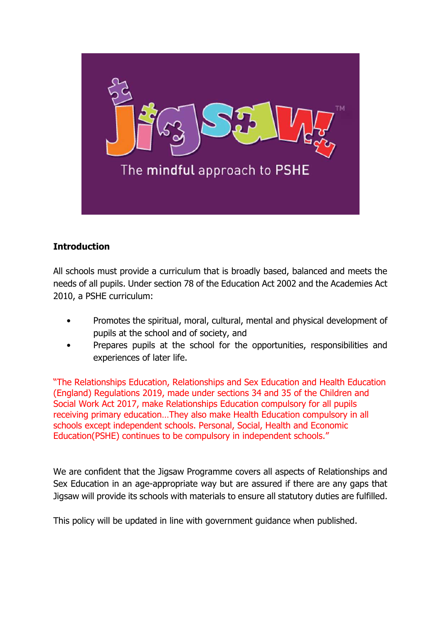

# **Introduction**

All schools must provide a curriculum that is broadly based, balanced and meets the needs of all pupils. Under section 78 of the Education Act 2002 and the Academies Act 2010, a PSHE curriculum:

- Promotes the spiritual, moral, cultural, mental and physical development of pupils at the school and of society, and
- Prepares pupils at the school for the opportunities, responsibilities and experiences of later life.

"The Relationships Education, Relationships and Sex Education and Health Education (England) Regulations 2019, made under sections 34 and 35 of the Children and Social Work Act 2017, make Relationships Education compulsory for all pupils receiving primary education…They also make Health Education compulsory in all schools except independent schools. Personal, Social, Health and Economic Education(PSHE) continues to be compulsory in independent schools."

We are confident that the Jigsaw Programme covers all aspects of Relationships and Sex Education in an age-appropriate way but are assured if there are any gaps that Jigsaw will provide its schools with materials to ensure all statutory duties are fulfilled.

This policy will be updated in line with government guidance when published.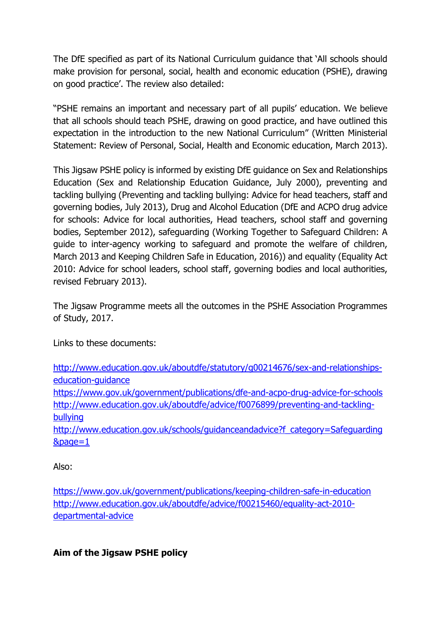The DfE specified as part of its National Curriculum guidance that 'All schools should make provision for personal, social, health and economic education (PSHE), drawing on good practice'. The review also detailed:

"PSHE remains an important and necessary part of all pupils' education. We believe that all schools should teach PSHE, drawing on good practice, and have outlined this expectation in the introduction to the new National Curriculum" (Written Ministerial Statement: Review of Personal, Social, Health and Economic education, March 2013).

This Jigsaw PSHE policy is informed by existing DfE guidance on Sex and Relationships Education (Sex and Relationship Education Guidance, July 2000), preventing and tackling bullying (Preventing and tackling bullying: Advice for head teachers, staff and governing bodies, July 2013), Drug and Alcohol Education (DfE and ACPO drug advice for schools: Advice for local authorities, Head teachers, school staff and governing bodies, September 2012), safeguarding (Working Together to Safeguard Children: A guide to inter-agency working to safeguard and promote the welfare of children, March 2013 and Keeping Children Safe in Education, 2016)) and equality (Equality Act 2010: Advice for school leaders, school staff, governing bodies and local authorities, revised February 2013).

The Jigsaw Programme meets all the outcomes in the PSHE Association Programmes of Study, 2017.

Links to these documents:

[http://www.education.gov.uk/aboutdfe/statutory/g00214676/sex-and-relationships](http://www.education.gov.uk/aboutdfe/statutory/g00214676/sex-and-relationships-education-guidance)[education-guidance](http://www.education.gov.uk/aboutdfe/statutory/g00214676/sex-and-relationships-education-guidance) <https://www.gov.uk/government/publications/dfe-and-acpo-drug-advice-for-schools> [http://www.education.gov.uk/aboutdfe/advice/f0076899/preventing-and-tackling](http://www.education.gov.uk/aboutdfe/advice/f0076899/preventing-and-tackling-bullying)[bullying](http://www.education.gov.uk/aboutdfe/advice/f0076899/preventing-and-tackling-bullying)

[http://www.education.gov.uk/schools/guidanceandadvice?f\\_category=Safeguarding](http://www.education.gov.uk/schools/guidanceandadvice?f_category=Safeguarding&page=1) [&page=1](http://www.education.gov.uk/schools/guidanceandadvice?f_category=Safeguarding&page=1)

Also:

<https://www.gov.uk/government/publications/keeping-children-safe-in-education> [http://www.education.gov.uk/aboutdfe/advice/f00215460/equality-act-2010](http://www.education.gov.uk/aboutdfe/advice/f00215460/equality-act-2010-departmental-advice) [departmental-advice](http://www.education.gov.uk/aboutdfe/advice/f00215460/equality-act-2010-departmental-advice)

**Aim of the Jigsaw PSHE policy**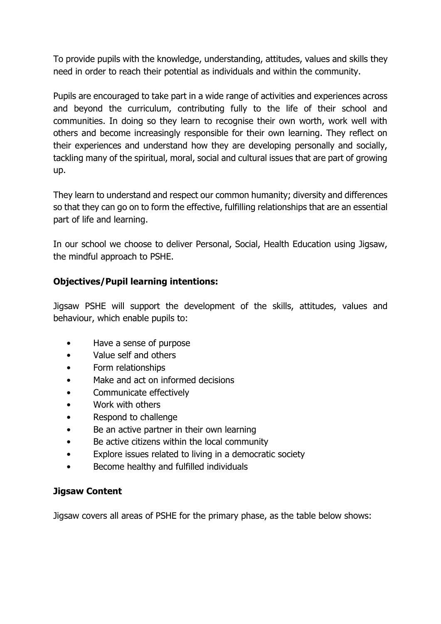To provide pupils with the knowledge, understanding, attitudes, values and skills they need in order to reach their potential as individuals and within the community.

Pupils are encouraged to take part in a wide range of activities and experiences across and beyond the curriculum, contributing fully to the life of their school and communities. In doing so they learn to recognise their own worth, work well with others and become increasingly responsible for their own learning. They reflect on their experiences and understand how they are developing personally and socially, tackling many of the spiritual, moral, social and cultural issues that are part of growing up.

They learn to understand and respect our common humanity; diversity and differences so that they can go on to form the effective, fulfilling relationships that are an essential part of life and learning.

In our school we choose to deliver Personal, Social, Health Education using Jigsaw, the mindful approach to PSHE.

## **Objectives/Pupil learning intentions:**

Jigsaw PSHE will support the development of the skills, attitudes, values and behaviour, which enable pupils to:

- Have a sense of purpose
- Value self and others
- Form relationships
- Make and act on informed decisions
- Communicate effectively
- Work with others
- Respond to challenge
- Be an active partner in their own learning
- Be active citizens within the local community
- Explore issues related to living in a democratic society
- Become healthy and fulfilled individuals

### **Jigsaw Content**

Jigsaw covers all areas of PSHE for the primary phase, as the table below shows: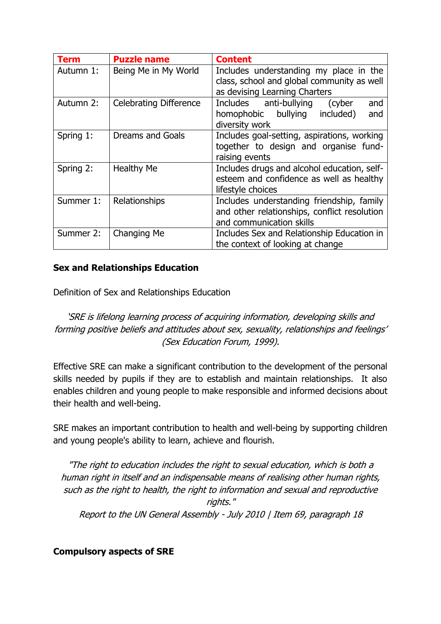| <b>Term</b> | <b>Puzzle name</b>            | <b>Content</b>                                                                                                        |
|-------------|-------------------------------|-----------------------------------------------------------------------------------------------------------------------|
| Autumn 1:   | Being Me in My World          | Includes understanding my place in the<br>class, school and global community as well<br>as devising Learning Charters |
| Autumn 2:   | <b>Celebrating Difference</b> | Includes anti-bullying<br>and<br>(cyber<br>bullying<br>included)<br>and<br>homophobic<br>diversity work               |
| Spring 1:   | Dreams and Goals              | Includes goal-setting, aspirations, working<br>together to design and organise fund-<br>raising events                |
| Spring 2:   | <b>Healthy Me</b>             | Includes drugs and alcohol education, self-<br>esteem and confidence as well as healthy<br>lifestyle choices          |
| Summer 1:   | Relationships                 | Includes understanding friendship, family<br>and other relationships, conflict resolution<br>and communication skills |
| Summer 2:   | Changing Me                   | Includes Sex and Relationship Education in<br>the context of looking at change                                        |

## **Sex and Relationships Education**

Definition of Sex and Relationships Education

'SRE is lifelong learning process of acquiring information, developing skills and forming positive beliefs and attitudes about sex, sexuality, relationships and feelings' (Sex Education Forum, 1999).

Effective SRE can make a significant contribution to the development of the personal skills needed by pupils if they are to establish and maintain relationships. It also enables children and young people to make responsible and informed decisions about their health and well-being.

SRE makes an important contribution to health and well-being by supporting children and young people's ability to learn, achieve and flourish.

"The right to education includes the right to sexual education, which is both a human right in itself and an indispensable means of realising other human rights, such as the right to health, the right to information and sexual and reproductive rights." Report to the UN General Assembly - July 2010 | Item 69, paragraph 18

**Compulsory aspects of SRE**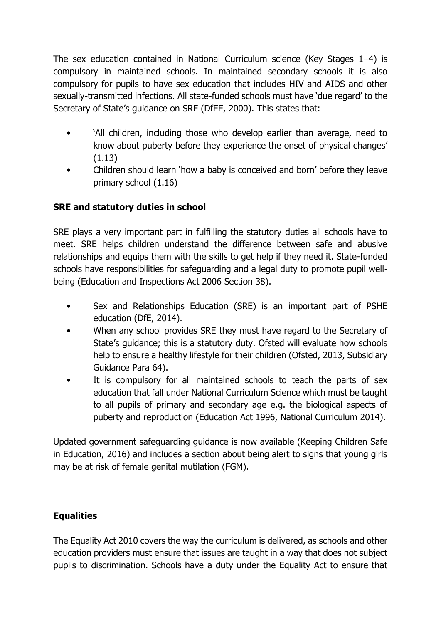The sex education contained in National Curriculum science (Key Stages 1–4) is compulsory in maintained schools. In maintained secondary schools it is also compulsory for pupils to have sex education that includes HIV and AIDS and other sexually-transmitted infections. All state-funded schools must have 'due regard' to the Secretary of State's guidance on SRE (DfEE, 2000). This states that:

- 'All children, including those who develop earlier than average, need to know about puberty before they experience the onset of physical changes' (1.13)
- Children should learn 'how a baby is conceived and born' before they leave primary school (1.16)

# **SRE and statutory duties in school**

SRE plays a very important part in fulfilling the statutory duties all schools have to meet. SRE helps children understand the difference between safe and abusive relationships and equips them with the skills to get help if they need it. State-funded schools have responsibilities for safeguarding and a legal duty to promote pupil wellbeing (Education and Inspections Act 2006 Section 38).

- Sex and Relationships Education (SRE) is an important part of PSHE education (DfE, 2014).
- When any school provides SRE they must have regard to the Secretary of State's guidance; this is a statutory duty. Ofsted will evaluate how schools help to ensure a healthy lifestyle for their children (Ofsted, 2013, Subsidiary Guidance Para 64).
- It is compulsory for all maintained schools to teach the parts of sex education that fall under National Curriculum Science which must be taught to all pupils of primary and secondary age e.g. the biological aspects of puberty and reproduction (Education Act 1996, National Curriculum 2014).

Updated government safeguarding guidance is now available (Keeping Children Safe in Education, 2016) and includes a section about being alert to signs that young girls may be at risk of female genital mutilation (FGM).

# **Equalities**

The Equality Act 2010 covers the way the curriculum is delivered, as schools and other education providers must ensure that issues are taught in a way that does not subject pupils to discrimination. Schools have a duty under the Equality Act to ensure that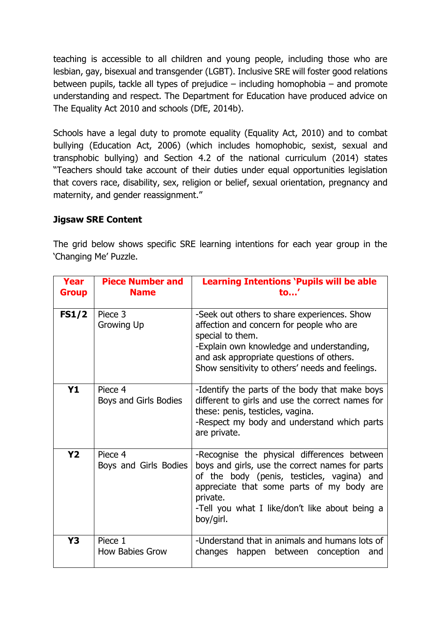teaching is accessible to all children and young people, including those who are lesbian, gay, bisexual and transgender (LGBT). Inclusive SRE will foster good relations between pupils, tackle all types of prejudice – including homophobia – and promote understanding and respect. The Department for Education have produced advice on The Equality Act 2010 and schools (DfE, 2014b).

Schools have a legal duty to promote equality (Equality Act, 2010) and to combat bullying (Education Act, 2006) (which includes homophobic, sexist, sexual and transphobic bullying) and Section 4.2 of the national curriculum (2014) states "Teachers should take account of their duties under equal opportunities legislation that covers race, disability, sex, religion or belief, sexual orientation, pregnancy and maternity, and gender reassignment."

## **Jigsaw SRE Content**

The grid below shows specific SRE learning intentions for each year group in the 'Changing Me' Puzzle.

| Year<br><b>Group</b> | <b>Piece Number and</b><br><b>Name</b> | <b>Learning Intentions 'Pupils will be able</b><br>to'                                                                                                                                                                                                               |
|----------------------|----------------------------------------|----------------------------------------------------------------------------------------------------------------------------------------------------------------------------------------------------------------------------------------------------------------------|
| FS1/2                | Piece 3<br>Growing Up                  | -Seek out others to share experiences. Show<br>affection and concern for people who are<br>special to them.<br>-Explain own knowledge and understanding,<br>and ask appropriate questions of others.<br>Show sensitivity to others' needs and feelings.              |
| <b>Y1</b>            | Piece 4<br>Boys and Girls Bodies       | -Identify the parts of the body that make boys<br>different to girls and use the correct names for<br>these: penis, testicles, vagina.<br>-Respect my body and understand which parts<br>are private.                                                                |
| <b>Y2</b>            | Piece 4<br>Boys and Girls Bodies       | -Recognise the physical differences between<br>boys and girls, use the correct names for parts<br>of the body (penis, testicles, vagina) and<br>appreciate that some parts of my body are<br>private.<br>-Tell you what I like/don't like about being a<br>boy/girl. |
| Y3                   | Piece 1<br><b>How Babies Grow</b>      | -Understand that in animals and humans lots of<br>changes<br>happen<br>between conception<br>and                                                                                                                                                                     |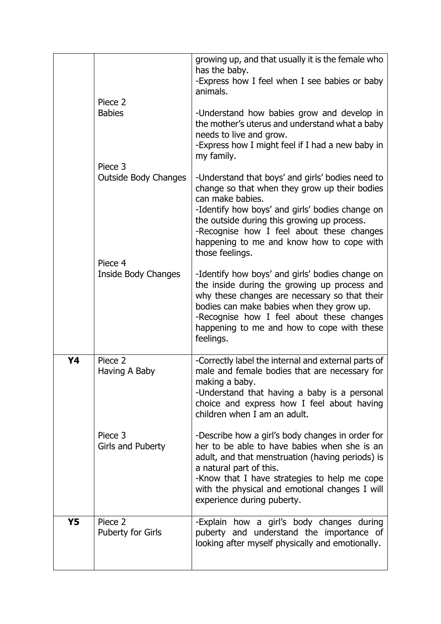|           |                                        | growing up, and that usually it is the female who<br>has the baby.<br>-Express how I feel when I see babies or baby<br>animals.                                                                                                                                                                                                      |
|-----------|----------------------------------------|--------------------------------------------------------------------------------------------------------------------------------------------------------------------------------------------------------------------------------------------------------------------------------------------------------------------------------------|
|           | Piece 2<br><b>Babies</b>               | -Understand how babies grow and develop in<br>the mother's uterus and understand what a baby<br>needs to live and grow.<br>-Express how I might feel if I had a new baby in<br>my family.                                                                                                                                            |
|           | Piece 3<br><b>Outside Body Changes</b> | -Understand that boys' and girls' bodies need to<br>change so that when they grow up their bodies<br>can make babies.<br>-Identify how boys' and girls' bodies change on<br>the outside during this growing up process.<br>-Recognise how I feel about these changes<br>happening to me and know how to cope with<br>those feelings. |
|           | Piece 4<br>Inside Body Changes         | -Identify how boys' and girls' bodies change on<br>the inside during the growing up process and<br>why these changes are necessary so that their<br>bodies can make babies when they grow up.<br>-Recognise how I feel about these changes<br>happening to me and how to cope with these<br>feelings.                                |
| Y4        | Piece 2<br>Having A Baby               | -Correctly label the internal and external parts of<br>male and female bodies that are necessary for<br>making a baby.<br>-Understand that having a baby is a personal<br>choice and express how I feel about having<br>children when I am an adult.                                                                                 |
|           | Piece 3<br>Girls and Puberty           | -Describe how a girl's body changes in order for<br>her to be able to have babies when she is an<br>adult, and that menstruation (having periods) is<br>a natural part of this.<br>-Know that I have strategies to help me cope<br>with the physical and emotional changes I will<br>experience during puberty.                      |
| <b>Y5</b> | Piece 2<br><b>Puberty for Girls</b>    | -Explain how a girl's body changes during<br>puberty and understand the importance of<br>looking after myself physically and emotionally.                                                                                                                                                                                            |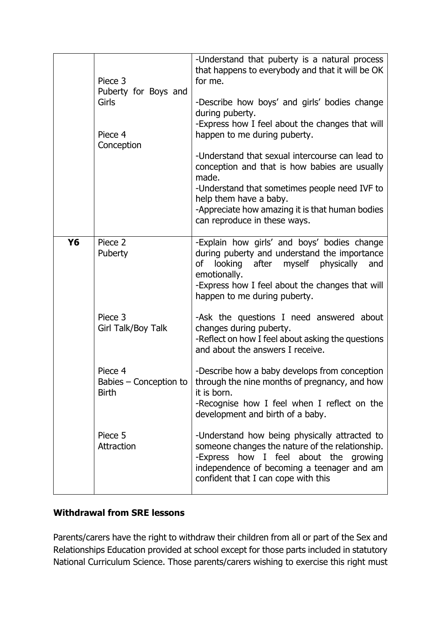|    |                                                        | -Understand that puberty is a natural process                                     |
|----|--------------------------------------------------------|-----------------------------------------------------------------------------------|
|    |                                                        | that happens to everybody and that it will be OK                                  |
|    | Piece 3                                                | for me.                                                                           |
|    | Puberty for Boys and<br>Girls<br>Piece 4<br>Conception |                                                                                   |
|    |                                                        | -Describe how boys' and girls' bodies change<br>during puberty.                   |
|    |                                                        | -Express how I feel about the changes that will                                   |
|    |                                                        | happen to me during puberty.                                                      |
|    |                                                        |                                                                                   |
|    |                                                        | -Understand that sexual intercourse can lead to                                   |
|    |                                                        | conception and that is how babies are usually<br>made.                            |
|    |                                                        | -Understand that sometimes people need IVF to                                     |
|    |                                                        | help them have a baby.                                                            |
|    |                                                        | -Appreciate how amazing it is that human bodies                                   |
|    |                                                        | can reproduce in these ways.                                                      |
| Y6 | Piece 2                                                | -Explain how girls' and boys' bodies change                                       |
|    | Puberty                                                | during puberty and understand the importance                                      |
|    |                                                        | looking after myself physically<br>of<br>and<br>emotionally.                      |
|    |                                                        | -Express how I feel about the changes that will                                   |
|    |                                                        | happen to me during puberty.                                                      |
|    |                                                        |                                                                                   |
|    | Piece 3<br>Girl Talk/Boy Talk                          | -Ask the questions I need answered about<br>changes during puberty.               |
|    |                                                        | -Reflect on how I feel about asking the questions                                 |
|    |                                                        | and about the answers I receive.                                                  |
|    | Piece 4                                                | -Describe how a baby develops from conception                                     |
|    | Babies – Conception to $ $                             | through the nine months of pregnancy, and how                                     |
|    | <b>Birth</b>                                           | it is born.                                                                       |
|    |                                                        | -Recognise how I feel when I reflect on the                                       |
|    |                                                        | development and birth of a baby.                                                  |
|    | Piece 5                                                | -Understand how being physically attracted to                                     |
|    | Attraction                                             | someone changes the nature of the relationship.                                   |
|    |                                                        | -Express how I feel about the growing                                             |
|    |                                                        | independence of becoming a teenager and am<br>confident that I can cope with this |
|    |                                                        |                                                                                   |

# **Withdrawal from SRE lessons**

Parents/carers have the right to withdraw their children from all or part of the Sex and Relationships Education provided at school except for those parts included in statutory National Curriculum Science. Those parents/carers wishing to exercise this right must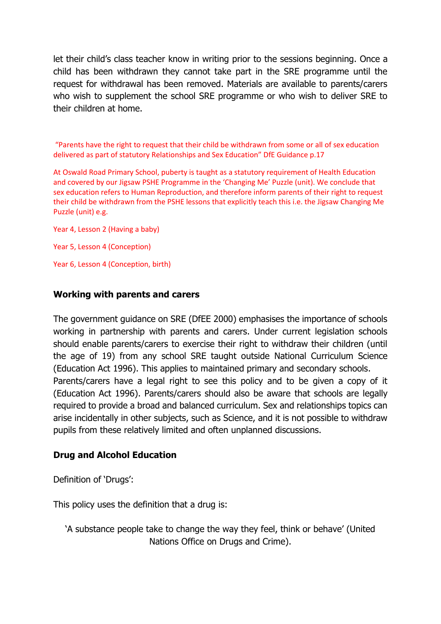let their child's class teacher know in writing prior to the sessions beginning. Once a child has been withdrawn they cannot take part in the SRE programme until the request for withdrawal has been removed. Materials are available to parents/carers who wish to supplement the school SRE programme or who wish to deliver SRE to their children at home.

"Parents have the right to request that their child be withdrawn from some or all of sex education delivered as part of statutory Relationships and Sex Education" DfE Guidance p.17

At Oswald Road Primary School, puberty is taught as a statutory requirement of Health Education and covered by our Jigsaw PSHE Programme in the 'Changing Me' Puzzle (unit). We conclude that sex education refers to Human Reproduction, and therefore inform parents of their right to request their child be withdrawn from the PSHE lessons that explicitly teach this i.e. the Jigsaw Changing Me Puzzle (unit) e.g.

Year 4, Lesson 2 (Having a baby) Year 5, Lesson 4 (Conception) Year 6, Lesson 4 (Conception, birth)

## **Working with parents and carers**

The government guidance on SRE (DfEE 2000) emphasises the importance of schools working in partnership with parents and carers. Under current legislation schools should enable parents/carers to exercise their right to withdraw their children (until the age of 19) from any school SRE taught outside National Curriculum Science (Education Act 1996). This applies to maintained primary and secondary schools. Parents/carers have a legal right to see this policy and to be given a copy of it (Education Act 1996). Parents/carers should also be aware that schools are legally required to provide a broad and balanced curriculum. Sex and relationships topics can arise incidentally in other subjects, such as Science, and it is not possible to withdraw pupils from these relatively limited and often unplanned discussions.

### **Drug and Alcohol Education**

Definition of 'Drugs':

This policy uses the definition that a drug is:

'A substance people take to change the way they feel, think or behave' (United Nations Office on Drugs and Crime).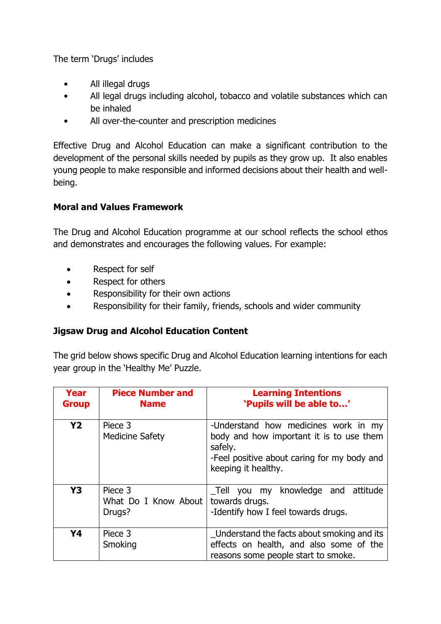The term 'Drugs' includes

- All illegal drugs
- All legal drugs including alcohol, tobacco and volatile substances which can be inhaled
- All over-the-counter and prescription medicines

Effective Drug and Alcohol Education can make a significant contribution to the development of the personal skills needed by pupils as they grow up. It also enables young people to make responsible and informed decisions about their health and wellbeing.

## **Moral and Values Framework**

The Drug and Alcohol Education programme at our school reflects the school ethos and demonstrates and encourages the following values. For example:

- Respect for self
- Respect for others
- Responsibility for their own actions
- Responsibility for their family, friends, schools and wider community

### **Jigsaw Drug and Alcohol Education Content**

The grid below shows specific Drug and Alcohol Education learning intentions for each year group in the 'Healthy Me' Puzzle.

| Year<br><b>Group</b> | <b>Piece Number and</b><br><b>Name</b>    | <b>Learning Intentions</b><br>'Pupils will be able to'                                                                                                            |
|----------------------|-------------------------------------------|-------------------------------------------------------------------------------------------------------------------------------------------------------------------|
| <b>Y2</b>            | Piece 3<br><b>Medicine Safety</b>         | -Understand how medicines work in my<br>body and how important it is to use them<br>safely.<br>-Feel positive about caring for my body and<br>keeping it healthy. |
| <b>Y3</b>            | Piece 3<br>What Do I Know About<br>Drugs? | Tell you my knowledge and attitude<br>towards drugs.<br>-Identify how I feel towards drugs.                                                                       |
| Y4                   | Piece 3<br>Smoking                        | Understand the facts about smoking and its<br>effects on health, and also some of the<br>reasons some people start to smoke.                                      |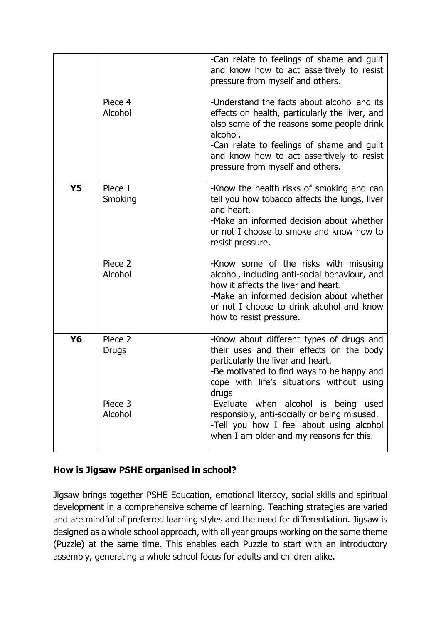|           | Piece 4<br>Alcohol                       | -Can relate to feelings of shame and guilt<br>and know how to act assertively to resist<br>pressure from myself and others.<br>-Understand the facts about alcohol and its<br>effects on health, particularly the liver, and<br>also some of the reasons some people drink<br>alcohol.<br>-Can relate to feelings of shame and guilt<br>and know how to act assertively to resist<br>pressure from myself and others.                                                     |
|-----------|------------------------------------------|---------------------------------------------------------------------------------------------------------------------------------------------------------------------------------------------------------------------------------------------------------------------------------------------------------------------------------------------------------------------------------------------------------------------------------------------------------------------------|
| <b>Y5</b> | Piece 1<br>Smoking<br>Piece 2<br>Alcohol | -Know the health risks of smoking and can<br>tell you how tobacco affects the lungs, liver<br>and heart.<br>-Make an informed decision about whether<br>or not I choose to smoke and know how to<br>resist pressure.<br>-Know some of the risks with misusing<br>alcohol, including anti-social behaviour, and<br>how it affects the liver and heart.<br>-Make an informed decision about whether<br>or not I choose to drink alcohol and know<br>how to resist pressure. |
| Y6        | Piece 2<br>Drugs<br>Piece 3<br>Alcohol   | -Know about different types of drugs and<br>their uses and their effects on the body<br>particularly the liver and heart.<br>-Be motivated to find ways to be happy and<br>cope with life's situations without using<br>drugs<br>-Evaluate when alcohol is being<br>used<br>responsibly, anti-socially or being misused.<br>-Tell you how I feel about using alcohol<br>when I am older and my reasons for this.                                                          |

## **How is Jigsaw PSHE organised in school?**

Jigsaw brings together PSHE Education, emotional literacy, social skills and spiritual development in a comprehensive scheme of learning. Teaching strategies are varied and are mindful of preferred learning styles and the need for differentiation. Jigsaw is designed as a whole school approach, with all year groups working on the same theme (Puzzle) at the same time. This enables each Puzzle to start with an introductory assembly, generating a whole school focus for adults and children alike.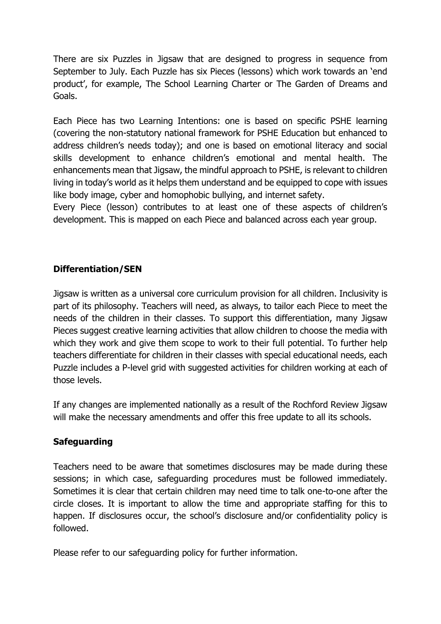There are six Puzzles in Jigsaw that are designed to progress in sequence from September to July. Each Puzzle has six Pieces (lessons) which work towards an 'end product', for example, The School Learning Charter or The Garden of Dreams and Goals.

Each Piece has two Learning Intentions: one is based on specific PSHE learning (covering the non-statutory national framework for PSHE Education but enhanced to address children's needs today); and one is based on emotional literacy and social skills development to enhance children's emotional and mental health. The enhancements mean that Jigsaw, the mindful approach to PSHE, is relevant to children living in today's world as it helps them understand and be equipped to cope with issues like body image, cyber and homophobic bullying, and internet safety.

Every Piece (lesson) contributes to at least one of these aspects of children's development. This is mapped on each Piece and balanced across each year group.

## **Differentiation/SEN**

Jigsaw is written as a universal core curriculum provision for all children. Inclusivity is part of its philosophy. Teachers will need, as always, to tailor each Piece to meet the needs of the children in their classes. To support this differentiation, many Jigsaw Pieces suggest creative learning activities that allow children to choose the media with which they work and give them scope to work to their full potential. To further help teachers differentiate for children in their classes with special educational needs, each Puzzle includes a P-level grid with suggested activities for children working at each of those levels.

If any changes are implemented nationally as a result of the Rochford Review Jigsaw will make the necessary amendments and offer this free update to all its schools.

# **Safeguarding**

Teachers need to be aware that sometimes disclosures may be made during these sessions; in which case, safeguarding procedures must be followed immediately. Sometimes it is clear that certain children may need time to talk one-to-one after the circle closes. It is important to allow the time and appropriate staffing for this to happen. If disclosures occur, the school's disclosure and/or confidentiality policy is followed.

Please refer to our safeguarding policy for further information.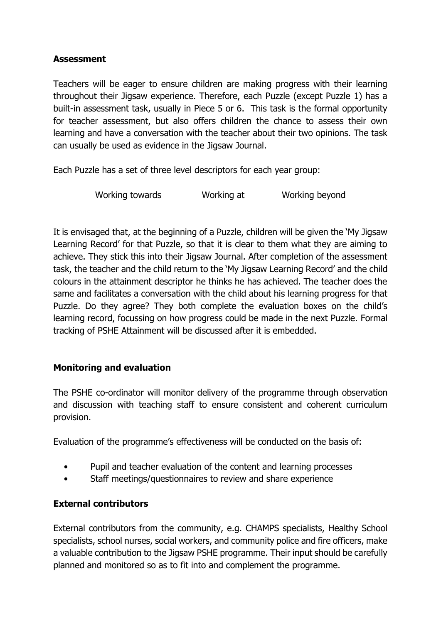## **Assessment**

Teachers will be eager to ensure children are making progress with their learning throughout their Jigsaw experience. Therefore, each Puzzle (except Puzzle 1) has a built-in assessment task, usually in Piece 5 or 6. This task is the formal opportunity for teacher assessment, but also offers children the chance to assess their own learning and have a conversation with the teacher about their two opinions. The task can usually be used as evidence in the Jigsaw Journal.

Each Puzzle has a set of three level descriptors for each year group:

Working towards Working at Working beyond

It is envisaged that, at the beginning of a Puzzle, children will be given the 'My Jigsaw Learning Record' for that Puzzle, so that it is clear to them what they are aiming to achieve. They stick this into their Jigsaw Journal. After completion of the assessment task, the teacher and the child return to the 'My Jigsaw Learning Record' and the child colours in the attainment descriptor he thinks he has achieved. The teacher does the same and facilitates a conversation with the child about his learning progress for that Puzzle. Do they agree? They both complete the evaluation boxes on the child's learning record, focussing on how progress could be made in the next Puzzle. Formal tracking of PSHE Attainment will be discussed after it is embedded.

### **Monitoring and evaluation**

The PSHE co-ordinator will monitor delivery of the programme through observation and discussion with teaching staff to ensure consistent and coherent curriculum provision.

Evaluation of the programme's effectiveness will be conducted on the basis of:

- Pupil and teacher evaluation of the content and learning processes
- Staff meetings/questionnaires to review and share experience

## **External contributors**

External contributors from the community, e.g. CHAMPS specialists, Healthy School specialists, school nurses, social workers, and community police and fire officers, make a valuable contribution to the Jigsaw PSHE programme. Their input should be carefully planned and monitored so as to fit into and complement the programme.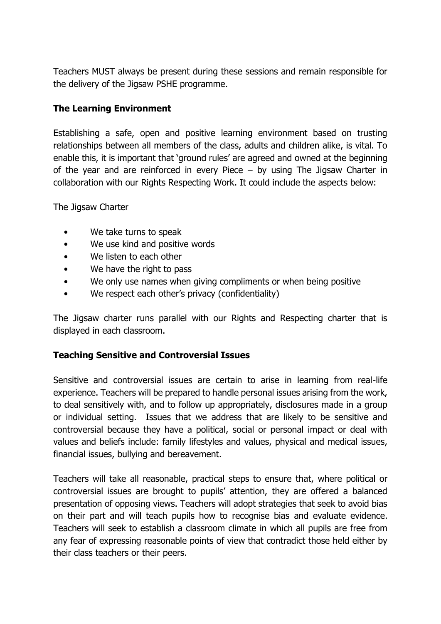Teachers MUST always be present during these sessions and remain responsible for the delivery of the Jigsaw PSHE programme.

## **The Learning Environment**

Establishing a safe, open and positive learning environment based on trusting relationships between all members of the class, adults and children alike, is vital. To enable this, it is important that 'ground rules' are agreed and owned at the beginning of the year and are reinforced in every Piece – by using The Jigsaw Charter in collaboration with our Rights Respecting Work. It could include the aspects below:

The Jigsaw Charter

- We take turns to speak
- We use kind and positive words
- We listen to each other
- We have the right to pass
- We only use names when giving compliments or when being positive
- We respect each other's privacy (confidentiality)

The Jigsaw charter runs parallel with our Rights and Respecting charter that is displayed in each classroom.

## **Teaching Sensitive and Controversial Issues**

Sensitive and controversial issues are certain to arise in learning from real-life experience. Teachers will be prepared to handle personal issues arising from the work, to deal sensitively with, and to follow up appropriately, disclosures made in a group or individual setting. Issues that we address that are likely to be sensitive and controversial because they have a political, social or personal impact or deal with values and beliefs include: family lifestyles and values, physical and medical issues, financial issues, bullying and bereavement.

Teachers will take all reasonable, practical steps to ensure that, where political or controversial issues are brought to pupils' attention, they are offered a balanced presentation of opposing views. Teachers will adopt strategies that seek to avoid bias on their part and will teach pupils how to recognise bias and evaluate evidence. Teachers will seek to establish a classroom climate in which all pupils are free from any fear of expressing reasonable points of view that contradict those held either by their class teachers or their peers.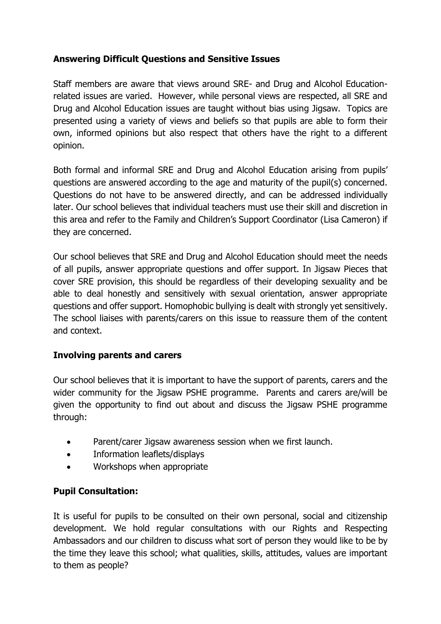# **Answering Difficult Questions and Sensitive Issues**

Staff members are aware that views around SRE- and Drug and Alcohol Educationrelated issues are varied. However, while personal views are respected, all SRE and Drug and Alcohol Education issues are taught without bias using Jigsaw. Topics are presented using a variety of views and beliefs so that pupils are able to form their own, informed opinions but also respect that others have the right to a different opinion.

Both formal and informal SRE and Drug and Alcohol Education arising from pupils' questions are answered according to the age and maturity of the pupil(s) concerned. Questions do not have to be answered directly, and can be addressed individually later. Our school believes that individual teachers must use their skill and discretion in this area and refer to the Family and Children's Support Coordinator (Lisa Cameron) if they are concerned.

Our school believes that SRE and Drug and Alcohol Education should meet the needs of all pupils, answer appropriate questions and offer support. In Jigsaw Pieces that cover SRE provision, this should be regardless of their developing sexuality and be able to deal honestly and sensitively with sexual orientation, answer appropriate questions and offer support. Homophobic bullying is dealt with strongly yet sensitively. The school liaises with parents/carers on this issue to reassure them of the content and context.

### **Involving parents and carers**

Our school believes that it is important to have the support of parents, carers and the wider community for the Jigsaw PSHE programme. Parents and carers are/will be given the opportunity to find out about and discuss the Jigsaw PSHE programme through:

- Parent/carer Jigsaw awareness session when we first launch.
- Information leaflets/displays
- Workshops when appropriate

## **Pupil Consultation:**

It is useful for pupils to be consulted on their own personal, social and citizenship development. We hold regular consultations with our Rights and Respecting Ambassadors and our children to discuss what sort of person they would like to be by the time they leave this school; what qualities, skills, attitudes, values are important to them as people?